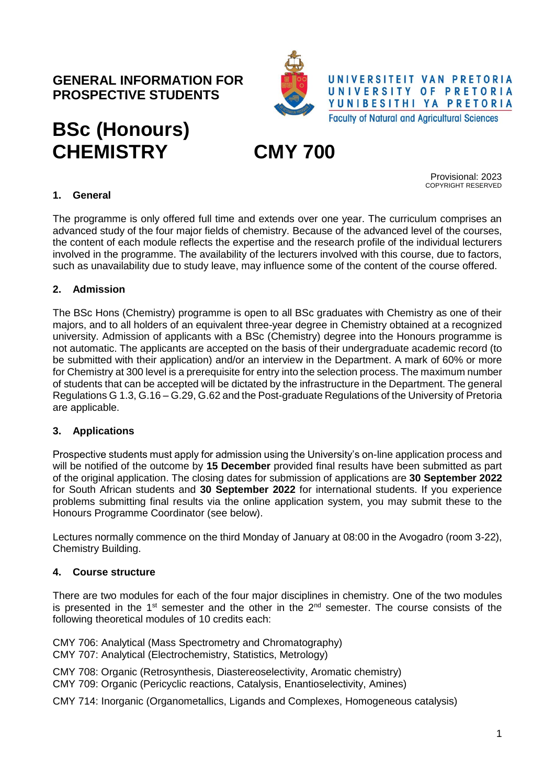## **GENERAL INFORMATION FOR PROSPECTIVE STUDENTS**



# **BSc (Honours) CHEMISTRY CMY 700**

Provisional: 2023 COPYRIGHT RESERVED

## **1. General**

The programme is only offered full time and extends over one year. The curriculum comprises an advanced study of the four major fields of chemistry. Because of the advanced level of the courses, the content of each module reflects the expertise and the research profile of the individual lecturers involved in the programme. The availability of the lecturers involved with this course, due to factors, such as unavailability due to study leave, may influence some of the content of the course offered.

## **2. Admission**

The BSc Hons (Chemistry) programme is open to all BSc graduates with Chemistry as one of their majors, and to all holders of an equivalent three-year degree in Chemistry obtained at a recognized university. Admission of applicants with a BSc (Chemistry) degree into the Honours programme is not automatic. The applicants are accepted on the basis of their undergraduate academic record (to be submitted with their application) and/or an interview in the Department. A mark of 60% or more for Chemistry at 300 level is a prerequisite for entry into the selection process. The maximum number of students that can be accepted will be dictated by the infrastructure in the Department. The general Regulations G 1.3, G.16 – G.29, G.62 and the Post-graduate Regulations of the University of Pretoria are applicable.

## **3. Applications**

Prospective students must apply for admission using the University's on-line application process and will be notified of the outcome by **15 December** provided final results have been submitted as part of the original application. The closing dates for submission of applications are **30 September 2022** for South African students and **30 September 2022** for international students. If you experience problems submitting final results via the online application system, you may submit these to the Honours Programme Coordinator (see below).

Lectures normally commence on the third Monday of January at 08:00 in the Avogadro (room 3-22), Chemistry Building.

## **4. Course structure**

There are two modules for each of the four major disciplines in chemistry. One of the two modules is presented in the  $1<sup>st</sup>$  semester and the other in the  $2<sup>nd</sup>$  semester. The course consists of the following theoretical modules of 10 credits each:

CMY 706: Analytical (Mass Spectrometry and Chromatography) CMY 707: Analytical (Electrochemistry, Statistics, Metrology)

CMY 708: Organic (Retrosynthesis, Diastereoselectivity, Aromatic chemistry) CMY 709: Organic (Pericyclic reactions, Catalysis, Enantioselectivity, Amines)

CMY 714: Inorganic (Organometallics, Ligands and Complexes, Homogeneous catalysis)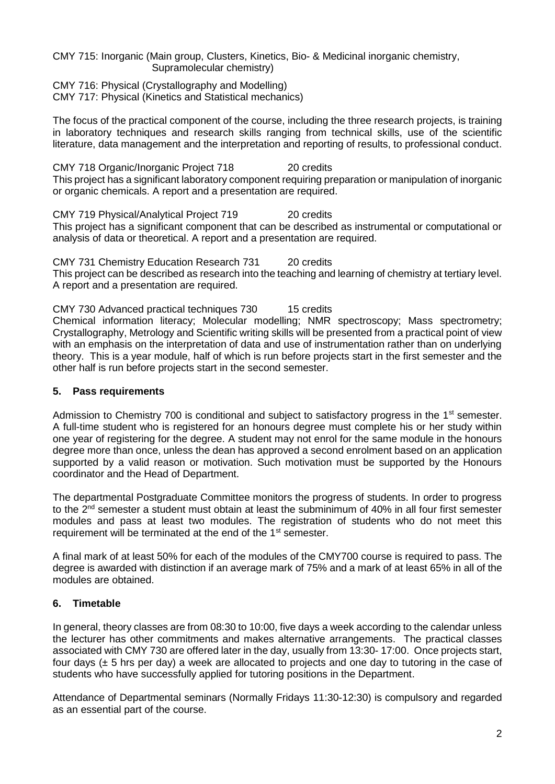CMY 715: Inorganic (Main group, Clusters, Kinetics, Bio- & Medicinal inorganic chemistry, Supramolecular chemistry)

CMY 716: Physical (Crystallography and Modelling) CMY 717: Physical (Kinetics and Statistical mechanics)

The focus of the practical component of the course, including the three research projects, is training in laboratory techniques and research skills ranging from technical skills, use of the scientific literature, data management and the interpretation and reporting of results, to professional conduct.

CMY 718 Organic/Inorganic Project 718 20 credits This project has a significant laboratory component requiring preparation or manipulation of inorganic or organic chemicals. A report and a presentation are required.

CMY 719 Physical/Analytical Project 719 20 credits This project has a significant component that can be described as instrumental or computational or analysis of data or theoretical. A report and a presentation are required.

CMY 731 Chemistry Education Research 731 20 credits This project can be described as research into the teaching and learning of chemistry at tertiary level. A report and a presentation are required.

CMY 730 Advanced practical techniques 730 15 credits Chemical information literacy; Molecular modelling; NMR spectroscopy; Mass spectrometry; Crystallography, Metrology and Scientific writing skills will be presented from a practical point of view with an emphasis on the interpretation of data and use of instrumentation rather than on underlying theory. This is a year module, half of which is run before projects start in the first semester and the other half is run before projects start in the second semester.

## **5. Pass requirements**

Admission to Chemistry 700 is conditional and subject to satisfactory progress in the 1<sup>st</sup> semester. A full-time student who is registered for an honours degree must complete his or her study within one year of registering for the degree. A student may not enrol for the same module in the honours degree more than once, unless the dean has approved a second enrolment based on an application supported by a valid reason or motivation. Such motivation must be supported by the Honours coordinator and the Head of Department.

The departmental Postgraduate Committee monitors the progress of students. In order to progress to the 2<sup>nd</sup> semester a student must obtain at least the subminimum of 40% in all four first semester modules and pass at least two modules. The registration of students who do not meet this requirement will be terminated at the end of the 1<sup>st</sup> semester.

A final mark of at least 50% for each of the modules of the CMY700 course is required to pass. The degree is awarded with distinction if an average mark of 75% and a mark of at least 65% in all of the modules are obtained.

## **6. Timetable**

In general, theory classes are from 08:30 to 10:00, five days a week according to the calendar unless the lecturer has other commitments and makes alternative arrangements. The practical classes associated with CMY 730 are offered later in the day, usually from 13:30- 17:00. Once projects start, four days  $(\pm 5$  hrs per day) a week are allocated to projects and one day to tutoring in the case of students who have successfully applied for tutoring positions in the Department.

Attendance of Departmental seminars (Normally Fridays 11:30-12:30) is compulsory and regarded as an essential part of the course.